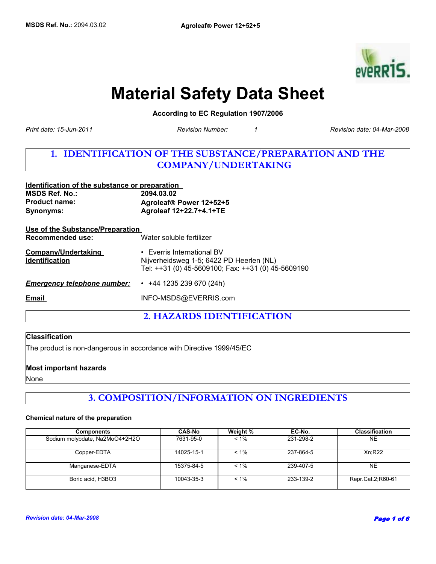

# **Material Safety Data Sheet**

**According to EC Regulation 1907/2006** 

*Revision Number: 1*

*Print date: 15-Jun-2011 Revision date: 04-Mar-2008*

# **1. IDENTIFICATION OF THE SUBSTANCE/PREPARATION AND THE COMPANY/UNDERTAKING**

| Identification of the substance or preparation      |                                                                                                                              |
|-----------------------------------------------------|------------------------------------------------------------------------------------------------------------------------------|
| <b>MSDS Ref. No.:</b>                               | 2094.03.02                                                                                                                   |
| <b>Product name:</b>                                | Agroleaf® Power 12+52+5                                                                                                      |
| <b>Synonyms:</b>                                    | Agroleaf 12+22.7+4.1+TE                                                                                                      |
| Use of the Substance/Preparation                    |                                                                                                                              |
| Recommended use:                                    | Water soluble fertilizer                                                                                                     |
| <b>Company/Undertaking</b><br><b>Identification</b> | • Everris International BV<br>Nijverheidsweg 1-5; 6422 PD Heerlen (NL)<br>Tel: ++31 (0) 45-5609100; Fax: ++31 (0) 45-5609190 |
| <b>Emergency telephone number:</b>                  | $\cdot$ +44 1235 239 670 (24h)                                                                                               |
| Email                                               | INFO-MSDS@EVERRIS.com                                                                                                        |
|                                                     |                                                                                                                              |

**2. HAZARDS IDENTIFICATION**

### **Classification**

The product is non-dangerous in accordance with Directive 1999/45/EC

### **Most important hazards**

None

# **3. COMPOSITION/INFORMATION ON INGREDIENTS**

#### **Chemical nature of the preparation**

| <b>Components</b>              | <b>CAS-No</b> | Weight % | EC-No.    | <b>Classification</b> |
|--------------------------------|---------------|----------|-----------|-----------------------|
| Sodium molybdate, Na2MoO4+2H2O | 7631-95-0     | $< 1\%$  | 231-298-2 | <b>NE</b>             |
| Copper-EDTA                    | 14025-15-1    | $< 1\%$  | 237-864-5 | Xn:R22                |
| Manganese-EDTA                 | 15375-84-5    | $< 1\%$  | 239-407-5 | <b>NE</b>             |
| Boric acid, H3BO3              | 10043-35-3    | $< 1\%$  | 233-139-2 | Repr.Cat.2;R60-61     |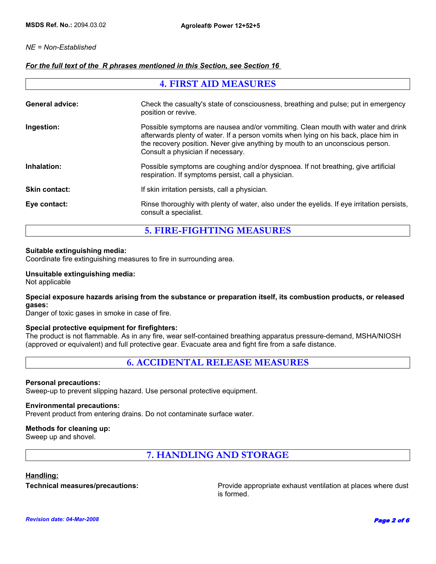### *NE = Non-Established*

### *For the full text of the R phrases mentioned in this Section, see Section 16*

| <b>4. FIRST AID MEASURES</b> |                                                                                                                                                                                                                                                                                              |  |
|------------------------------|----------------------------------------------------------------------------------------------------------------------------------------------------------------------------------------------------------------------------------------------------------------------------------------------|--|
| <b>General advice:</b>       | Check the casualty's state of consciousness, breathing and pulse; put in emergency<br>position or revive.                                                                                                                                                                                    |  |
| Ingestion:                   | Possible symptoms are nausea and/or vommiting. Clean mouth with water and drink<br>afterwards plenty of water. If a person vomits when lying on his back, place him in<br>the recovery position. Never give anything by mouth to an unconscious person.<br>Consult a physician if necessary. |  |
| Inhalation:                  | Possible symptoms are coughing and/or dyspnoea. If not breathing, give artificial<br>respiration. If symptoms persist, call a physician.                                                                                                                                                     |  |
| <b>Skin contact:</b>         | If skin irritation persists, call a physician.                                                                                                                                                                                                                                               |  |
| Eye contact:                 | Rinse thoroughly with plenty of water, also under the eyelids. If eye irritation persists,<br>consult a specialist.                                                                                                                                                                          |  |

# **5. FIRE-FIGHTING MEASURES**

### **Suitable extinguishing media:**

Coordinate fire extinguishing measures to fire in surrounding area.

### **Unsuitable extinguishing media:**

Not applicable

### **Special exposure hazards arising from the substance or preparation itself, its combustion products, or released gases:**

Danger of toxic gases in smoke in case of fire.

#### **Special protective equipment for firefighters:**

The product is not flammable. As in any fire, wear self-contained breathing apparatus pressure-demand, MSHA/NIOSH (approved or equivalent) and full protective gear. Evacuate area and fight fire from a safe distance.

### **6. ACCIDENTAL RELEASE MEASURES**

#### **Personal precautions:**

Sweep-up to prevent slipping hazard. Use personal protective equipment.

#### **Environmental precautions:**

Prevent product from entering drains. Do not contaminate surface water.

### **Methods for cleaning up:**

Sweep up and shovel.

**7. HANDLING AND STORAGE**

### **Handling:**

**Technical measures/precautions:** Provide appropriate exhaust ventilation at places where dust is formed.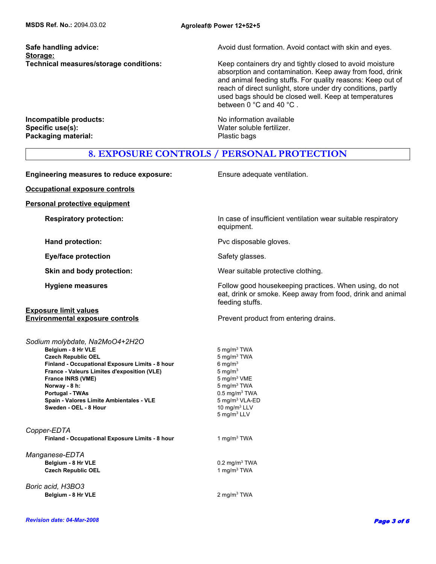**Storage:**

**Safe handling advice:** Avoid dust formation. Avoid contact with skin and eyes.

**Technical measures/storage conditions:** Keep containers dry and tightly closed to avoid moisture absorption and contamination. Keep away from food, drink and animal feeding stuffs. For quality reasons: Keep out of reach of direct sunlight, store under dry conditions, partly used bags should be closed well. Keep at temperatures between 0 °C and 40 °C .

**Incompatible products:** No information available **Specific use(s):** Water soluble fertilizer. **Packaging material:** Packaging material: Plastic bags

### **8. EXPOSURE CONTROLS / PERSONAL PROTECTION**

**Engineering measures to reduce exposure:** Ensure adequate ventilation. **Occupational exposure controls Personal protective equipment Respiratory protection:** In case of insufficient ventilation wear suitable respiratory equipment. **Hand protection:** Pvc disposable gloves. **Eye/face protection** Safety glasses. **Skin and body protection:** Wear suitable protective clothing. **Hygiene measures Follow good housekeeping practices. When using, do not all the state of the Follow good housekeeping practices. When using, do not** eat, drink or smoke. Keep away from food, drink and animal feeding stuffs. **Exposure limit values Environmental exposure controls Prevent product from entering drains. Spain - Valores Limite Ambientales - VLE** 5 mg/m<sup>3</sup> VLA-ED **Sweden - OEL - 8 Hour 10 mg/m<sup>3</sup> LLV** 5 mg/m3 LLV **Finland - Occupational Exposure Limits - 8 hour** 6 mg/m<sup>3</sup> *Copper-EDTA* **Finland - Occupational Exposure Limits - 8 hour** 1 mg/m<sup>3</sup> TWA *Manganese-EDTA* **France - Valeurs Limites d'exposition (VLE)** 5 mg/m3 **Belgium - 8 Hr VLE** 0.2 mg/m<sup>3</sup> TWA **Belgium - 8 Hr VLE** 5 mg/m<sup>3</sup> TWA **Czech Republic OEL** 1 mg/m<sup>3</sup> TWA  **France INRS (VME)** *Boric acid, H3BO3* 5 mg/m3 VME **Belgium - 8 Hr VLE** 2 mg/m<sup>3</sup> TWA *Sodium molybdate, Na2MoO4+2H2O* **Norway - 8 h:** 5 mg/m<sup>3</sup> TWA **Czech Republic OEL Portugal - TWAs** 0.5 mg/m3 TWA 5 mg/m3 TWA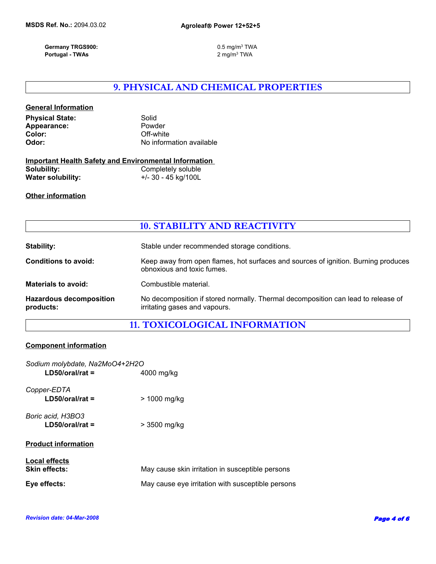**Germany TRGS900:** 0.5 mg/m3 TWA  **Portugal - TWAs** 

2 mg/m3 TWA

# **9. PHYSICAL AND CHEMICAL PROPERTIES**

| <b>General Information</b> |                          |
|----------------------------|--------------------------|
| <b>Physical State:</b>     | Solid                    |
| Appearance:                | Powder                   |
| Color:                     | Off-white                |
| Odor:                      | No information available |
|                            |                          |

|                   | <b>Important Health Safety and Environmental Information</b> |
|-------------------|--------------------------------------------------------------|
| Solubility:       | Completely soluble                                           |
| Water solubility: | +/- 30 - 45 kg/100L                                          |

### **Other information**

|  | <b>10. STABILITY AND REACTIVITY</b> |
|--|-------------------------------------|
|--|-------------------------------------|

| <b>Stability:</b>                           | Stable under recommended storage conditions.                                                                       |
|---------------------------------------------|--------------------------------------------------------------------------------------------------------------------|
| <b>Conditions to avoid:</b>                 | Keep away from open flames, hot surfaces and sources of ignition. Burning produces<br>obnoxious and toxic fumes.   |
| <b>Materials to avoid:</b>                  | Combustible material.                                                                                              |
| <b>Hazardous decomposition</b><br>products: | No decomposition if stored normally. Thermal decomposition can lead to release of<br>irritating gases and vapours. |

### **11. TOXICOLOGICAL INFORMATION**

### **Component information**

| Sodium molybdate, Na2MoO4+2H2O<br>$LD50/oral/rat =$ | 4000 mg/kg                                        |
|-----------------------------------------------------|---------------------------------------------------|
| Copper-EDTA<br>$LD50/oral/rat =$                    | > 1000 mg/kg                                      |
| Boric acid, H3BO3<br>$LD50/oral/rat =$              | > 3500 mg/kg                                      |
| <b>Product information</b>                          |                                                   |
| <b>Local effects</b><br><b>Skin effects:</b>        | May cause skin irritation in susceptible persons  |
| Eve effects:                                        | May cause eye irritation with susceptible persons |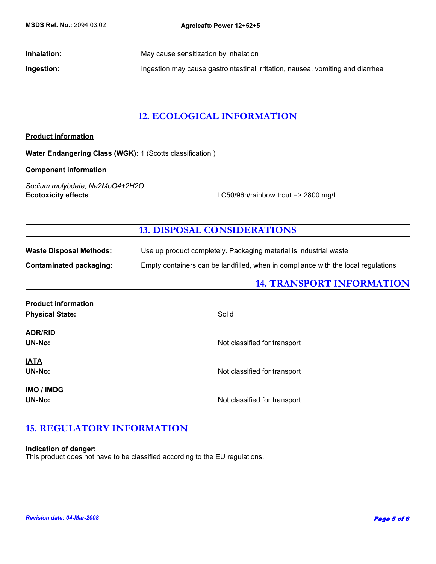**Inhalation:** May cause sensitization by inhalation **Inhalation Ingestion:** Ingestion may cause gastrointestinal irritation, nausea, vomiting and diarrhea

### **12. ECOLOGICAL INFORMATION**

### **Product information**

**Water Endangering Class (WGK):** 1 (Scotts classification )

### **Component information**

**Ecotoxicity effects** LC50/96h/rainbow trout => 2800 mg/l *Sodium molybdate, Na2MoO4+2H2O*

# **13. DISPOSAL CONSIDERATIONS**

| <b>Waste Disposal Methods:</b> | Use up product completely. Packaging material is industrial waste                 |
|--------------------------------|-----------------------------------------------------------------------------------|
| Contaminated packaging:        | Empty containers can be landfilled, when in compliance with the local regulations |

|                                                      | <b>14. TRANSPORT INFORMATION</b> |
|------------------------------------------------------|----------------------------------|
| <b>Product information</b><br><b>Physical State:</b> | Solid                            |
| <b>ADR/RID</b><br>UN-No:                             | Not classified for transport     |
| <b>JATA</b><br>UN-No:                                | Not classified for transport     |
| <b>IMO / IMDG</b><br>UN-No:                          | Not classified for transport     |

# **15. REGULATORY INFORMATION**

#### **Indication of danger:**

This product does not have to be classified according to the EU regulations.